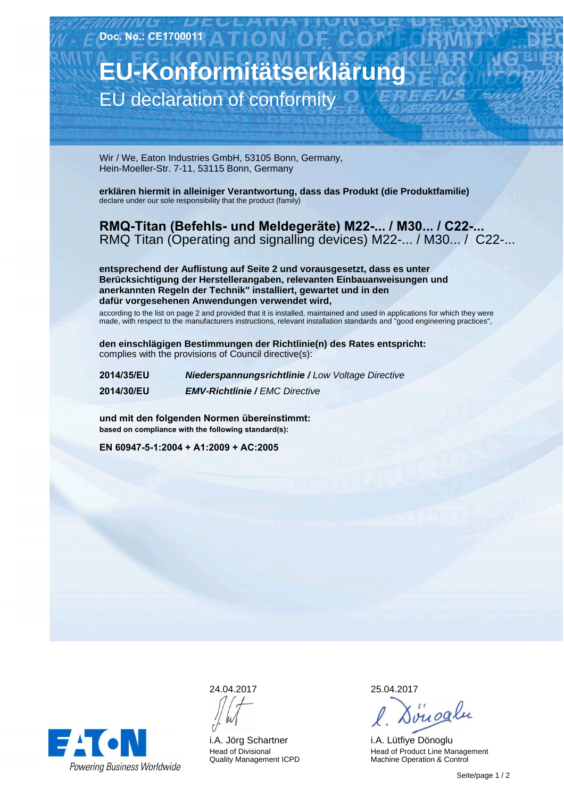**Doc. No.: CE1700011**

## **EU-Konformitätserklärung** EU declaration of conformity

Wir / We, Eaton Industries GmbH, 53105 Bonn, Germany, Hein-Moeller-Str. 7-11, 53115 Bonn, Germany

**erklären hiermit in alleiniger Verantwortung, dass das Produkt (die Produktfamilie)** declare under our sole responsibility that the product (family)

**RMQ-Titan (Befehls- und Meldegeräte) M22-... / M30... / C22-...** RMQ Titan (Operating and signalling devices) M22-... / M30... / C22-...

**entsprechend der Auflistung auf Seite 2 und vorausgesetzt, dass es unter Berücksichtigung der Herstellerangaben, relevanten Einbauanweisungen und anerkannten Regeln der Technik" installiert, gewartet und in den dafür vorgesehenen Anwendungen verwendet wird,**

according to the list on page 2 and provided that it is installed, maintained and used in applications for which they were made, with respect to the manufacturers instructions, relevant installation standards and "good engineering practices",

**den einschlägigen Bestimmungen der Richtlinie(n) des Rates entspricht:** complies with the provisions of Council directive(s):

**2014/35/EU Niederspannungsrichtlinie /** Low Voltage Directive **2014/30/EU EMV-Richtlinie /** EMC Directive

**und mit den folgenden Normen übereinstimmt: based on compliance with the following standard(s):**

**EN 60947-5-1:2004 + A1:2009 + AC:2005**



24.04.2017

i.A. Jörg Schartner Head of Divisional Quality Management ICPD 25.04.2017

Søngalu

i.A. Lütfiye Dönoglu Head of Product Line Management Machine Operation & Control